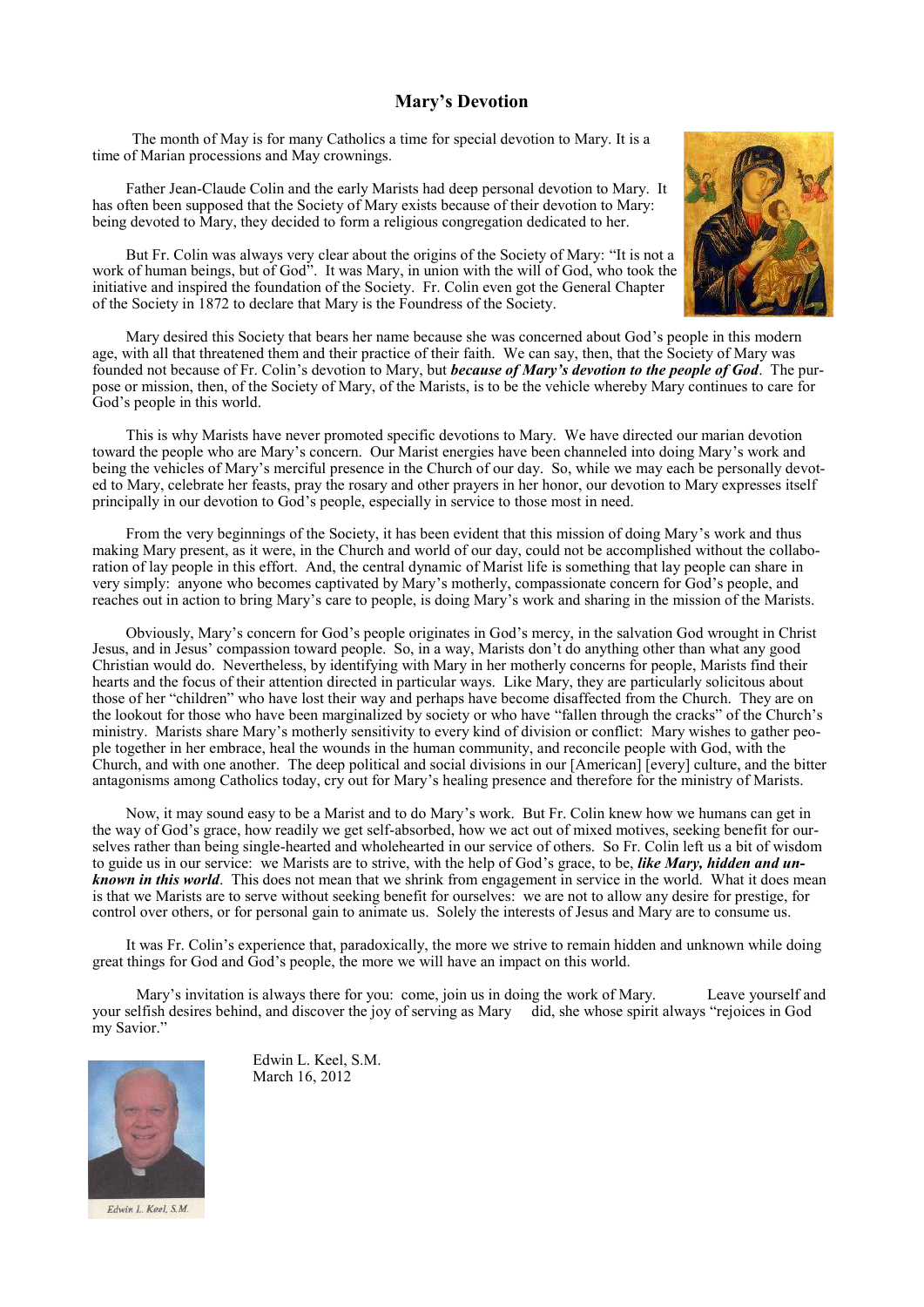## **Mary's Devotion**

The month of May is for many Catholics a time for special devotion to Mary. It is a time of Marian processions and May crownings.

Father Jean-Claude Colin and the early Marists had deep personal devotion to Mary. It has often been supposed that the Society of Mary exists because of their devotion to Mary: being devoted to Mary, they decided to form a religious congregation dedicated to her.



But Fr. Colin was always very clear about the origins of the Society of Mary: "It is not a work of human beings, but of God". It was Mary, in union with the will of God, who took the initiative and inspired the foundation of the Society. Fr. Colin even got the General Chapter of the Society in 1872 to declare that Mary is the Foundress of the Society.

Mary desired this Society that bears her name because she was concerned about God's people in this modern age, with all that threatened them and their practice of their faith. We can say, then, that the Society of Mary was founded not because of Fr. Colin's devotion to Mary, but *because of Mary's devotion to the people of God*. The purpose or mission, then, of the Society of Mary, of the Marists, is to be the vehicle whereby Mary continues to care for God's people in this world.

This is why Marists have never promoted specific devotions to Mary. We have directed our marian devotion toward the people who are Mary's concern. Our Marist energies have been channeled into doing Mary's work and being the vehicles of Mary's merciful presence in the Church of our day. So, while we may each be personally devoted to Mary, celebrate her feasts, pray the rosary and other prayers in her honor, our devotion to Mary expresses itself principally in our devotion to God's people, especially in service to those most in need.

From the very beginnings of the Society, it has been evident that this mission of doing Mary's work and thus making Mary present, as it were, in the Church and world of our day, could not be accomplished without the collaboration of lay people in this effort. And, the central dynamic of Marist life is something that lay people can share in very simply: anyone who becomes captivated by Mary's motherly, compassionate concern for God's people, and reaches out in action to bring Mary's care to people, is doing Mary's work and sharing in the mission of the Marists.

Obviously, Mary's concern for God's people originates in God's mercy, in the salvation God wrought in Christ Jesus, and in Jesus' compassion toward people. So, in a way, Marists don't do anything other than what any good Christian would do. Nevertheless, by identifying with Mary in her motherly concerns for people, Marists find their hearts and the focus of their attention directed in particular ways. Like Mary, they are particularly solicitous about those of her "children" who have lost their way and perhaps have become disaffected from the Church. They are on the lookout for those who have been marginalized by society or who have "fallen through the cracks" of the Church's ministry. Marists share Mary's motherly sensitivity to every kind of division or conflict: Mary wishes to gather people together in her embrace, heal the wounds in the human community, and reconcile people with God, with the Church, and with one another. The deep political and social divisions in our [American] [every] culture, and the bitter antagonisms among Catholics today, cry out for Mary's healing presence and therefore for the ministry of Marists.

Now, it may sound easy to be a Marist and to do Mary's work. But Fr. Colin knew how we humans can get in the way of God's grace, how readily we get self-absorbed, how we act out of mixed motives, seeking benefit for ourselves rather than being single-hearted and wholehearted in our service of others. So Fr. Colin left us a bit of wisdom to guide us in our service: we Marists are to strive, with the help of God's grace, to be, *like Mary, hidden and unknown in this world*. This does not mean that we shrink from engagement in service in the world. What it does mean is that we Marists are to serve without seeking benefit for ourselves: we are not to allow any desire for prestige, for control over others, or for personal gain to animate us. Solely the interests of Jesus and Mary are to consume us.

It was Fr. Colin's experience that, paradoxically, the more we strive to remain hidden and unknown while doing great things for God and God's people, the more we will have an impact on this world.

Mary's invitation is always there for you: come, join us in doing the work of Mary. Leave yourself and your selfish desires behind, and discover the joy of serving as Mary did, she whose spirit always "rejoices in God my Savior."



Edwin L. Keel, S.M.

Edwin L. Keel, S.M. March 16, 2012